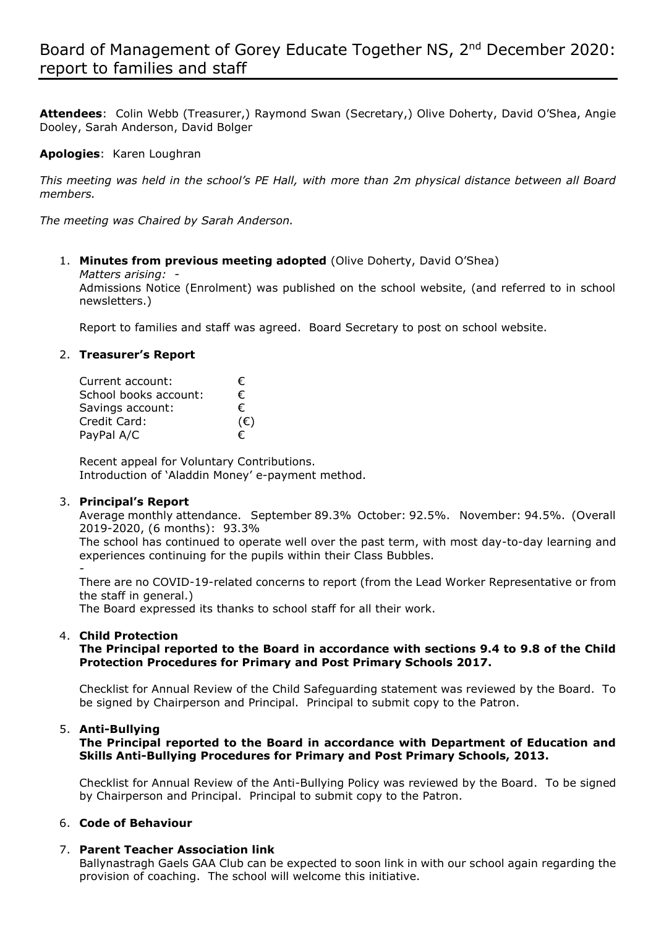**Attendees**: Colin Webb (Treasurer,) Raymond Swan (Secretary,) Olive Doherty, David O'Shea, Angie Dooley, Sarah Anderson, David Bolger

**Apologies**: Karen Loughran

*This meeting was held in the school's PE Hall, with more than 2m physical distance between all Board members.*

*The meeting was Chaired by Sarah Anderson.*

### 1. **Minutes from previous meeting adopted** (Olive Doherty, David O'Shea)

*Matters arising: -* 

Admissions Notice (Enrolment) was published on the school website, (and referred to in school newsletters.)

Report to families and staff was agreed. Board Secretary to post on school website.

### 2. **Treasurer's Report**

| Current account:      | €.  |
|-----------------------|-----|
| School books account: | €   |
| Savings account:      | €   |
| Credit Card:          | (€) |
| PayPal A/C            | €   |

Recent appeal for Voluntary Contributions. Introduction of 'Aladdin Money' e-payment method.

#### 3. **Principal's Report**

Average monthly attendance. September 89.3% October: 92.5%. November: 94.5%. (Overall 2019-2020, (6 months): 93.3%

The school has continued to operate well over the past term, with most day-to-day learning and experiences continuing for the pupils within their Class Bubbles. -

There are no COVID-19-related concerns to report (from the Lead Worker Representative or from the staff in general.)

The Board expressed its thanks to school staff for all their work.

# 4. **Child Protection**

**The Principal reported to the Board in accordance with sections 9.4 to 9.8 of the Child Protection Procedures for Primary and Post Primary Schools 2017.**

Checklist for Annual Review of the Child Safeguarding statement was reviewed by the Board. To be signed by Chairperson and Principal. Principal to submit copy to the Patron.

#### 5. **Anti-Bullying**

**The Principal reported to the Board in accordance with Department of Education and Skills Anti-Bullying Procedures for Primary and Post Primary Schools, 2013.**

Checklist for Annual Review of the Anti-Bullying Policy was reviewed by the Board. To be signed by Chairperson and Principal. Principal to submit copy to the Patron.

# 6. **Code of Behaviour**

# 7. **Parent Teacher Association link**

Ballynastragh Gaels GAA Club can be expected to soon link in with our school again regarding the provision of coaching. The school will welcome this initiative.